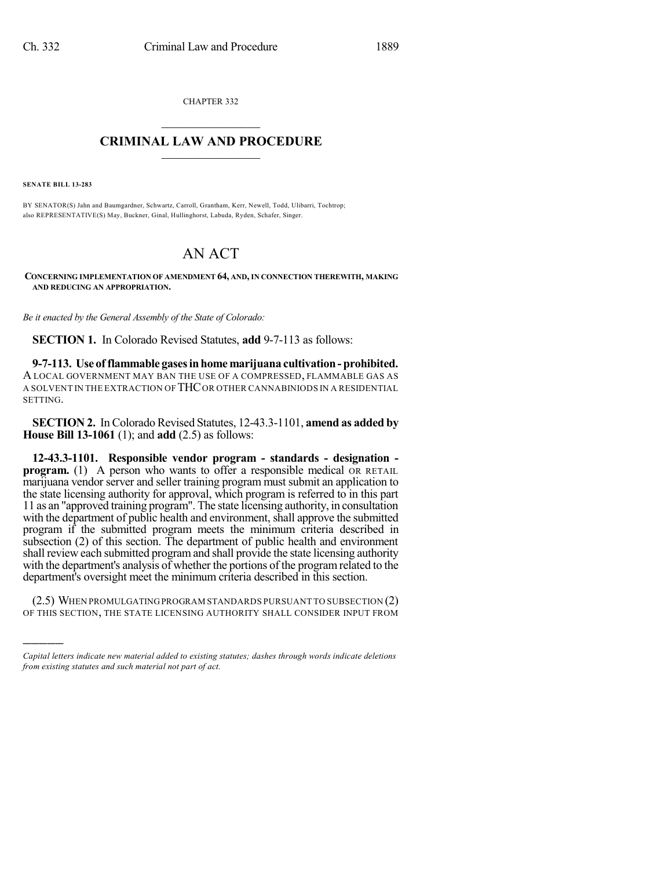CHAPTER 332  $\mathcal{L}_\text{max}$  . The set of the set of the set of the set of the set of the set of the set of the set of the set of the set of the set of the set of the set of the set of the set of the set of the set of the set of the set

## **CRIMINAL LAW AND PROCEDURE**  $\_$

**SENATE BILL 13-283**

)))))

BY SENATOR(S) Jahn and Baumgardner, Schwartz, Carroll, Grantham, Kerr, Newell, Todd, Ulibarri, Tochtrop; also REPRESENTATIVE(S) May, Buckner, Ginal, Hullinghorst, Labuda, Ryden, Schafer, Singer.

# AN ACT

**CONCERNING IMPLEMENTATION OF AMENDMENT 64, AND, IN CONNECTION THEREWITH, MAKING AND REDUCING AN APPROPRIATION.**

*Be it enacted by the General Assembly of the State of Colorado:*

**SECTION 1.** In Colorado Revised Statutes, **add** 9-7-113 as follows:

**9-7-113. Use of flammable gasesinhome marijuana cultivation- prohibited.** A LOCAL GOVERNMENT MAY BAN THE USE OF A COMPRESSED, FLAMMABLE GAS AS A SOLVENT IN THE EXTRACTION OF THCOR OTHER CANNABINIODS IN A RESIDENTIAL SETTING.

**SECTION 2.** In Colorado Revised Statutes, 12-43.3-1101, **amend as added by House Bill 13-1061** (1); and **add** (2.5) as follows:

**12-43.3-1101. Responsible vendor program - standards - designation program.** (1) A person who wants to offer a responsible medical OR RETAIL marijuana vendor server and seller training program must submit an application to the state licensing authority for approval, which program is referred to in this part 11 as an "approved training program". The state licensing authority, in consultation with the department of public health and environment, shall approve the submitted program if the submitted program meets the minimum criteria described in subsection (2) of this section. The department of public health and environment shall review each submitted programand shall provide the state licensing authority with the department's analysis of whether the portions of the programrelated to the department's oversight meet the minimum criteria described in this section.

(2.5) WHEN PROMULGATINGPROGRAM STANDARDS PURSUANT TO SUBSECTION (2) OF THIS SECTION, THE STATE LICENSING AUTHORITY SHALL CONSIDER INPUT FROM

*Capital letters indicate new material added to existing statutes; dashes through words indicate deletions from existing statutes and such material not part of act.*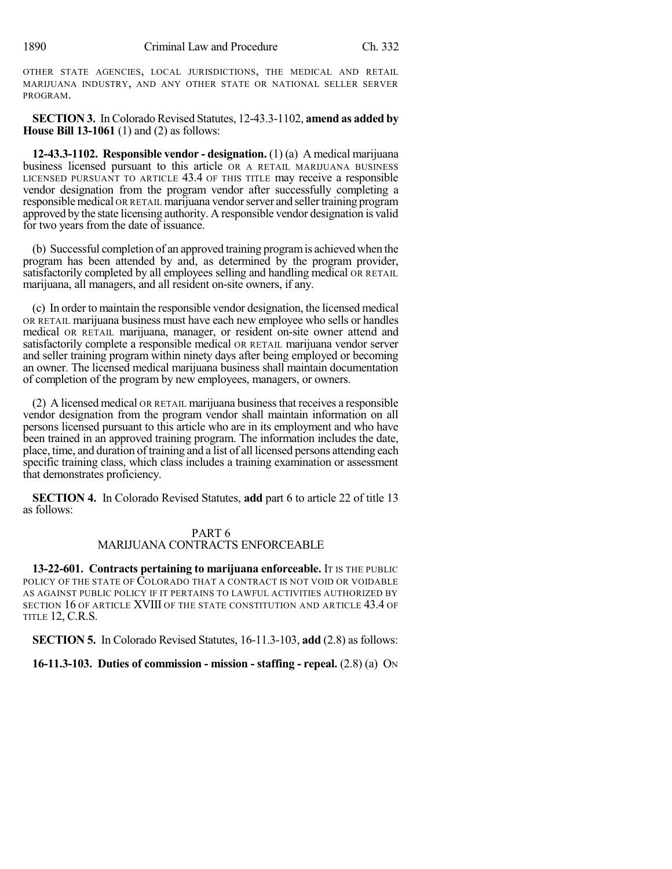OTHER STATE AGENCIES, LOCAL JURISDICTIONS, THE MEDICAL AND RETAIL MARIJUANA INDUSTRY, AND ANY OTHER STATE OR NATIONAL SELLER SERVER PROGRAM.

**SECTION 3.** In Colorado Revised Statutes, 12-43.3-1102, **amend as added by House Bill 13-1061** (1) and (2) as follows:

**12-43.3-1102. Responsible vendor - designation.** (1) (a) A medical marijuana business licensed pursuant to this article OR A RETAIL MARIJUANA BUSINESS LICENSED PURSUANT TO ARTICLE 43.4 OF THIS TITLE may receive a responsible vendor designation from the program vendor after successfully completing a responsiblemedical OR RETAIL marijuana vendorserver and sellertraining program approved by the state licensing authority. A responsible vendor designation is valid for two years from the date of issuance.

(b) Successful completion of an approved training programis achieved when the program has been attended by and, as determined by the program provider, satisfactorily completed by all employees selling and handling medical OR RETAIL marijuana, all managers, and all resident on-site owners, if any.

(c) In order to maintain the responsible vendor designation, the licensed medical OR RETAIL marijuana business must have each new employee who sells or handles medical OR RETAIL marijuana, manager, or resident on-site owner attend and satisfactorily complete a responsible medical OR RETAIL marijuana vendor server and seller training program within ninety days after being employed or becoming an owner. The licensed medical marijuana business shall maintain documentation of completion of the program by new employees, managers, or owners.

(2) A licensed medical OR RETAIL marijuana businessthat receives a responsible vendor designation from the program vendor shall maintain information on all persons licensed pursuant to this article who are in its employment and who have been trained in an approved training program. The information includes the date, place, time, and duration of training and a list of all licensed persons attending each specific training class, which class includes a training examination or assessment that demonstrates proficiency.

**SECTION 4.** In Colorado Revised Statutes, **add** part 6 to article 22 of title 13 as follows:

### PART 6 MARIJUANA CONTRACTS ENFORCEABLE

**13-22-601. Contracts pertaining to marijuana enforceable.** IT IS THE PUBLIC POLICY OF THE STATE OF COLORADO THAT A CONTRACT IS NOT VOID OR VOIDABLE AS AGAINST PUBLIC POLICY IF IT PERTAINS TO LAWFUL ACTIVITIES AUTHORIZED BY SECTION 16 OF ARTICLE XVIII OF THE STATE CONSTITUTION AND ARTICLE 43.4 OF TITLE 12, C.R.S.

**SECTION 5.** In Colorado Revised Statutes, 16-11.3-103, **add** (2.8) as follows:

**16-11.3-103. Duties of commission - mission - staffing - repeal.** (2.8) (a) ON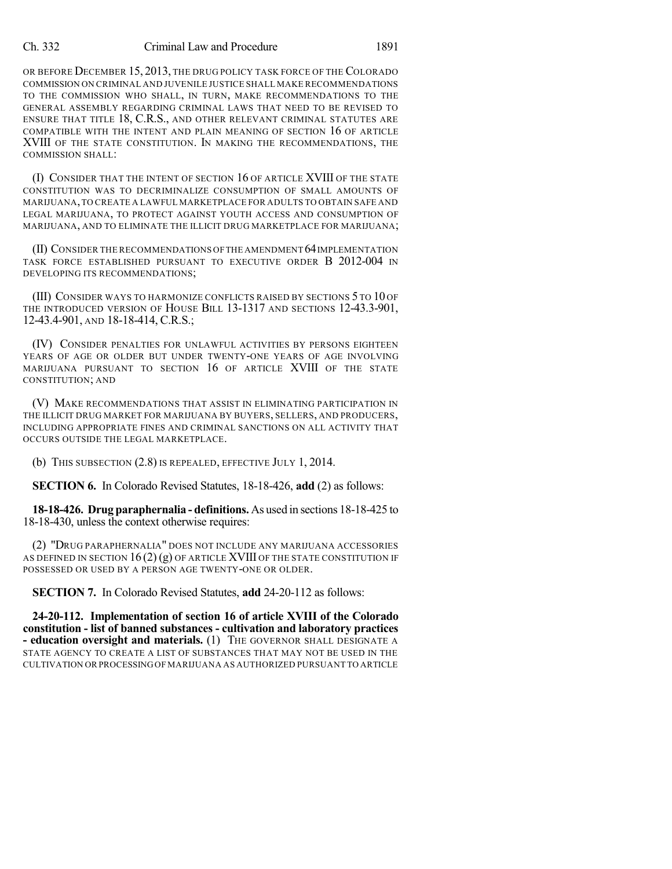#### Ch. 332 Criminal Law and Procedure 1891

OR BEFORE DECEMBER 15, 2013, THE DRUG POLICY TASK FORCE OF THE COLORADO COMMISSION ON CRIMINAL AND JUVENILE JUSTICE SHALL MAKE RECOMMENDATIONS TO THE COMMISSION WHO SHALL, IN TURN, MAKE RECOMMENDATIONS TO THE GENERAL ASSEMBLY REGARDING CRIMINAL LAWS THAT NEED TO BE REVISED TO ENSURE THAT TITLE 18, C.R.S., AND OTHER RELEVANT CRIMINAL STATUTES ARE COMPATIBLE WITH THE INTENT AND PLAIN MEANING OF SECTION 16 OF ARTICLE XVIII OF THE STATE CONSTITUTION. IN MAKING THE RECOMMENDATIONS, THE COMMISSION SHALL:

(I) CONSIDER THAT THE INTENT OF SECTION 16 OF ARTICLE XVIII OF THE STATE CONSTITUTION WAS TO DECRIMINALIZE CONSUMPTION OF SMALL AMOUNTS OF MARIJUANA,TO CREATE A LAWFUL MARKETPLACE FOR ADULTS TO OBTAIN SAFE AND LEGAL MARIJUANA, TO PROTECT AGAINST YOUTH ACCESS AND CONSUMPTION OF MARIJUANA, AND TO ELIMINATE THE ILLICIT DRUG MARKETPLACE FOR MARIJUANA;

(II) CONSIDER THE RECOMMENDATIONS OFTHE AMENDMENT 64IMPLEMENTATION TASK FORCE ESTABLISHED PURSUANT TO EXECUTIVE ORDER B 2012-004 IN DEVELOPING ITS RECOMMENDATIONS;

(III) CONSIDER WAYS TO HARMONIZE CONFLICTS RAISED BY SECTIONS 5 TO 10 OF THE INTRODUCED VERSION OF HOUSE BILL 13-1317 AND SECTIONS 12-43.3-901, 12-43.4-901, AND 18-18-414, C.R.S.;

(IV) CONSIDER PENALTIES FOR UNLAWFUL ACTIVITIES BY PERSONS EIGHTEEN YEARS OF AGE OR OLDER BUT UNDER TWENTY-ONE YEARS OF AGE INVOLVING MARIJUANA PURSUANT TO SECTION 16 OF ARTICLE XVIII OF THE STATE CONSTITUTION; AND

(V) MAKE RECOMMENDATIONS THAT ASSIST IN ELIMINATING PARTICIPATION IN THE ILLICIT DRUG MARKET FOR MARIJUANA BY BUYERS, SELLERS, AND PRODUCERS, INCLUDING APPROPRIATE FINES AND CRIMINAL SANCTIONS ON ALL ACTIVITY THAT OCCURS OUTSIDE THE LEGAL MARKETPLACE.

(b) THIS SUBSECTION (2.8) IS REPEALED, EFFECTIVE JULY 1, 2014.

**SECTION 6.** In Colorado Revised Statutes, 18-18-426, **add** (2) as follows:

**18-18-426. Drug paraphernalia - definitions.** As used in sections 18-18-425 to 18-18-430, unless the context otherwise requires:

(2) "DRUG PARAPHERNALIA" DOES NOT INCLUDE ANY MARIJUANA ACCESSORIES AS DEFINED IN SECTION 16 (2) (g) OF ARTICLE XVIII OF THE STATE CONSTITUTION IF POSSESSED OR USED BY A PERSON AGE TWENTY-ONE OR OLDER.

**SECTION 7.** In Colorado Revised Statutes, **add** 24-20-112 as follows:

**24-20-112. Implementation of section 16 of article XVIII of the Colorado constitution - list of banned substances - cultivation and laboratory practices - education oversight and materials.** (1) THE GOVERNOR SHALL DESIGNATE A STATE AGENCY TO CREATE A LIST OF SUBSTANCES THAT MAY NOT BE USED IN THE CULTIVATION ORPROCESSINGOF MARIJUANA AS AUTHORIZED PURSUANT TO ARTICLE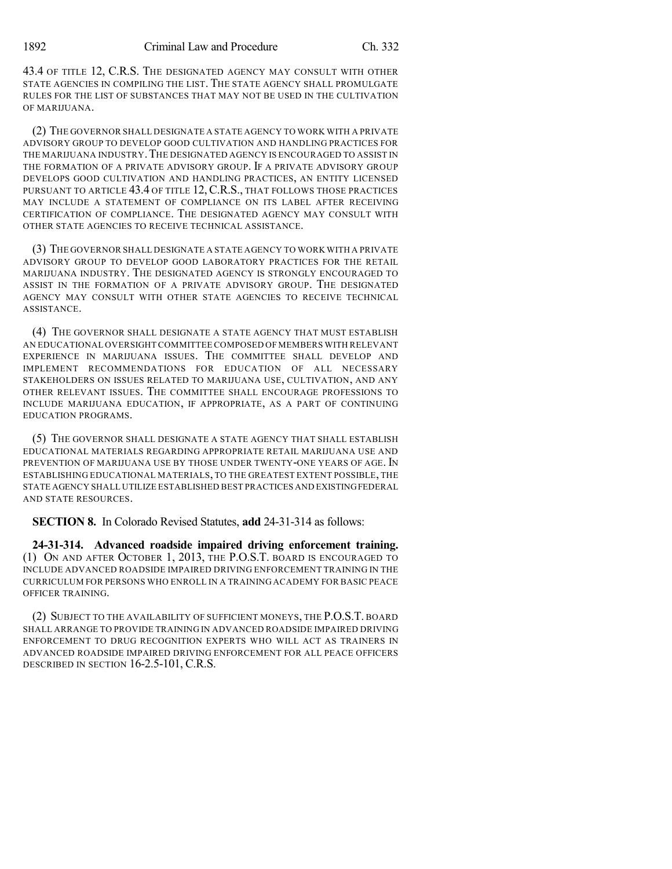43.4 OF TITLE 12, C.R.S. THE DESIGNATED AGENCY MAY CONSULT WITH OTHER STATE AGENCIES IN COMPILING THE LIST. THE STATE AGENCY SHALL PROMULGATE RULES FOR THE LIST OF SUBSTANCES THAT MAY NOT BE USED IN THE CULTIVATION OF MARIJUANA.

(2) THE GOVERNOR SHALL DESIGNATE A STATE AGENCY TO WORK WITH A PRIVATE ADVISORY GROUP TO DEVELOP GOOD CULTIVATION AND HANDLING PRACTICES FOR THE MARIJUANA INDUSTRY. THE DESIGNATED AGENCY IS ENCOURAGED TO ASSIST IN THE FORMATION OF A PRIVATE ADVISORY GROUP. IF A PRIVATE ADVISORY GROUP DEVELOPS GOOD CULTIVATION AND HANDLING PRACTICES, AN ENTITY LICENSED PURSUANT TO ARTICLE 43.4 OF TITLE 12, C.R.S., THAT FOLLOWS THOSE PRACTICES MAY INCLUDE A STATEMENT OF COMPLIANCE ON ITS LABEL AFTER RECEIVING CERTIFICATION OF COMPLIANCE. THE DESIGNATED AGENCY MAY CONSULT WITH OTHER STATE AGENCIES TO RECEIVE TECHNICAL ASSISTANCE.

(3) THE GOVERNOR SHALL DESIGNATE A STATE AGENCY TO WORK WITH A PRIVATE ADVISORY GROUP TO DEVELOP GOOD LABORATORY PRACTICES FOR THE RETAIL MARIJUANA INDUSTRY. THE DESIGNATED AGENCY IS STRONGLY ENCOURAGED TO ASSIST IN THE FORMATION OF A PRIVATE ADVISORY GROUP. THE DESIGNATED AGENCY MAY CONSULT WITH OTHER STATE AGENCIES TO RECEIVE TECHNICAL ASSISTANCE.

(4) THE GOVERNOR SHALL DESIGNATE A STATE AGENCY THAT MUST ESTABLISH AN EDUCATIONAL OVERSIGHT COMMITTEE COMPOSED OF MEMBERS WITH RELEVANT EXPERIENCE IN MARIJUANA ISSUES. THE COMMITTEE SHALL DEVELOP AND IMPLEMENT RECOMMENDATIONS FOR EDUCATION OF ALL NECESSARY STAKEHOLDERS ON ISSUES RELATED TO MARIJUANA USE, CULTIVATION, AND ANY OTHER RELEVANT ISSUES. THE COMMITTEE SHALL ENCOURAGE PROFESSIONS TO INCLUDE MARIJUANA EDUCATION, IF APPROPRIATE, AS A PART OF CONTINUING EDUCATION PROGRAMS.

(5) THE GOVERNOR SHALL DESIGNATE A STATE AGENCY THAT SHALL ESTABLISH EDUCATIONAL MATERIALS REGARDING APPROPRIATE RETAIL MARIJUANA USE AND PREVENTION OF MARIJUANA USE BY THOSE UNDER TWENTY-ONE YEARS OF AGE. IN ESTABLISHING EDUCATIONAL MATERIALS, TO THE GREATEST EXTENT POSSIBLE, THE STATE AGENCY SHALL UTILIZE ESTABLISHED BEST PRACTICES AND EXISTINGFEDERAL AND STATE RESOURCES.

**SECTION 8.** In Colorado Revised Statutes, **add** 24-31-314 as follows:

**24-31-314. Advanced roadside impaired driving enforcement training.** (1) ON AND AFTER OCTOBER 1, 2013, THE P.O.S.T. BOARD IS ENCOURAGED TO INCLUDE ADVANCED ROADSIDE IMPAIRED DRIVING ENFORCEMENT TRAINING IN THE CURRICULUM FOR PERSONS WHO ENROLL IN A TRAINING ACADEMY FOR BASIC PEACE OFFICER TRAINING.

(2) SUBJECT TO THE AVAILABILITY OF SUFFICIENT MONEYS, THE P.O.S.T. BOARD SHALL ARRANGE TO PROVIDE TRAINING IN ADVANCED ROADSIDE IMPAIRED DRIVING ENFORCEMENT TO DRUG RECOGNITION EXPERTS WHO WILL ACT AS TRAINERS IN ADVANCED ROADSIDE IMPAIRED DRIVING ENFORCEMENT FOR ALL PEACE OFFICERS DESCRIBED IN SECTION 16-2.5-101, C.R.S.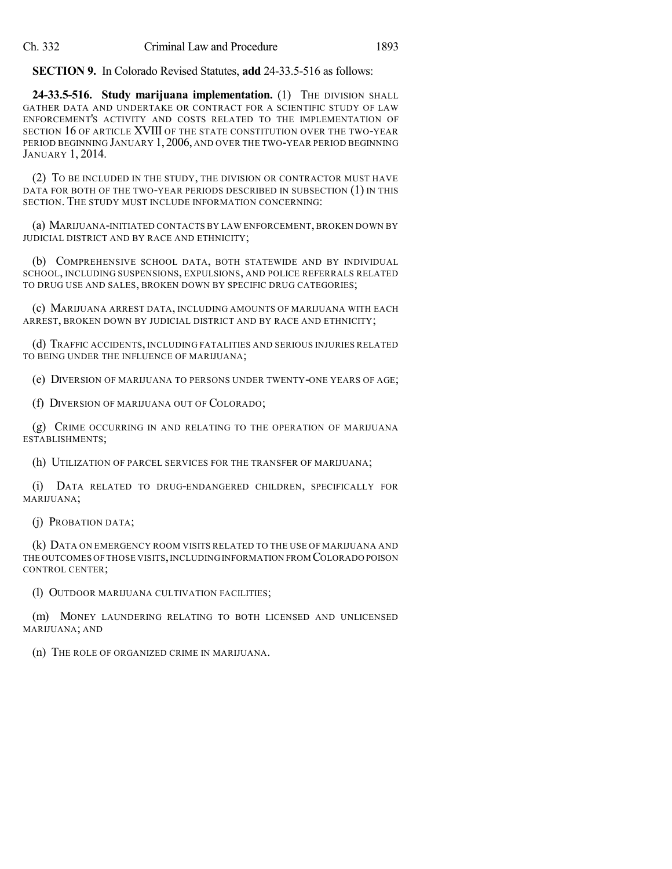**SECTION 9.** In Colorado Revised Statutes, **add** 24-33.5-516 as follows:

**24-33.5-516. Study marijuana implementation.** (1) THE DIVISION SHALL GATHER DATA AND UNDERTAKE OR CONTRACT FOR A SCIENTIFIC STUDY OF LAW ENFORCEMENT'S ACTIVITY AND COSTS RELATED TO THE IMPLEMENTATION OF SECTION 16 OF ARTICLE XVIII OF THE STATE CONSTITUTION OVER THE TWO-YEAR PERIOD BEGINNING JANUARY 1, 2006, AND OVER THE TWO-YEAR PERIOD BEGINNING JANUARY 1, 2014.

(2) TO BE INCLUDED IN THE STUDY, THE DIVISION OR CONTRACTOR MUST HAVE DATA FOR BOTH OF THE TWO-YEAR PERIODS DESCRIBED IN SUBSECTION (1) IN THIS SECTION. THE STUDY MUST INCLUDE INFORMATION CONCERNING:

(a) MARIJUANA-INITIATED CONTACTS BY LAW ENFORCEMENT, BROKEN DOWN BY JUDICIAL DISTRICT AND BY RACE AND ETHNICITY;

(b) COMPREHENSIVE SCHOOL DATA, BOTH STATEWIDE AND BY INDIVIDUAL SCHOOL, INCLUDING SUSPENSIONS, EXPULSIONS, AND POLICE REFERRALS RELATED TO DRUG USE AND SALES, BROKEN DOWN BY SPECIFIC DRUG CATEGORIES;

(c) MARIJUANA ARREST DATA, INCLUDING AMOUNTS OF MARIJUANA WITH EACH ARREST, BROKEN DOWN BY JUDICIAL DISTRICT AND BY RACE AND ETHNICITY;

(d) TRAFFIC ACCIDENTS, INCLUDING FATALITIES AND SERIOUS INJURIES RELATED TO BEING UNDER THE INFLUENCE OF MARIJUANA;

(e) DIVERSION OF MARIJUANA TO PERSONS UNDER TWENTY-ONE YEARS OF AGE;

(f) DIVERSION OF MARIJUANA OUT OF COLORADO;

(g) CRIME OCCURRING IN AND RELATING TO THE OPERATION OF MARIJUANA ESTABLISHMENTS;

(h) UTILIZATION OF PARCEL SERVICES FOR THE TRANSFER OF MARIJUANA;

(i) DATA RELATED TO DRUG-ENDANGERED CHILDREN, SPECIFICALLY FOR MARIJUANA;

(j) PROBATION DATA;

(k) DATA ON EMERGENCY ROOM VISITS RELATED TO THE USE OF MARIJUANA AND THE OUTCOMES OF THOSE VISITS,INCLUDING INFORMATION FROM COLORADO POISON CONTROL CENTER;

(l) OUTDOOR MARIJUANA CULTIVATION FACILITIES;

(m) MONEY LAUNDERING RELATING TO BOTH LICENSED AND UNLICENSED MARIJUANA; AND

(n) THE ROLE OF ORGANIZED CRIME IN MARIJUANA.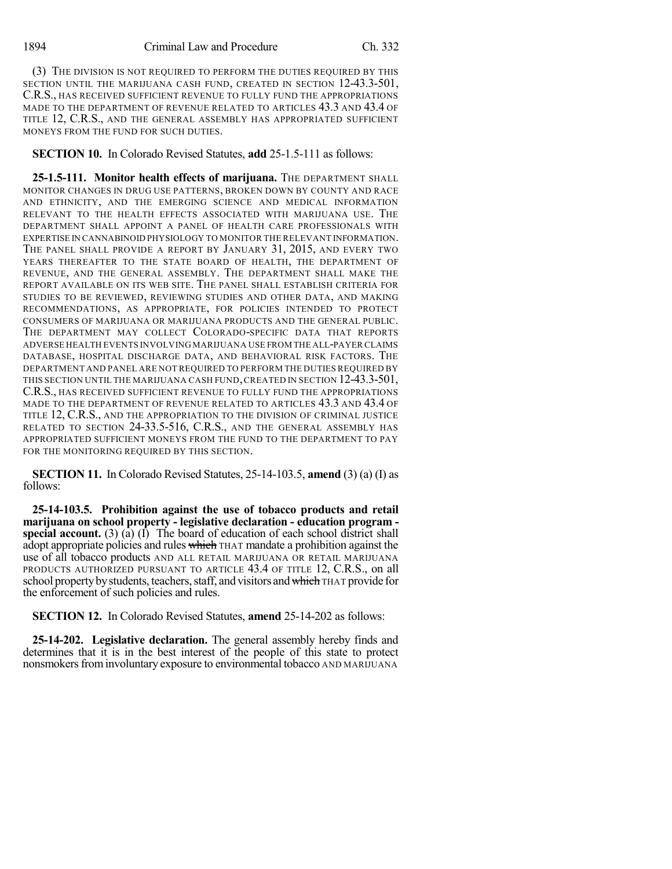(3) THE DIVISION IS NOT REQUIRED TO PERFORM THE DUTIES REQUIRED BY THIS SECTION UNTIL THE MARIJUANA CASH FUND, CREATED IN SECTION 12-43.3-501, C.R.S., HAS RECEIVED SUFFICIENT REVENUE TO FULLY FUND THE APPROPRIATIONS MADE TO THE DEPARTMENT OF REVENUE RELATED TO ARTICLES 43.3 AND 43.4 OF TITLE 12, C.R.S., AND THE GENERAL ASSEMBLY HAS APPROPRIATED SUFFICIENT MONEYS FROM THE FUND FOR SUCH DUTIES.

**SECTION 10.** In Colorado Revised Statutes, **add** 25-1.5-111 as follows:

**25-1.5-111. Monitor health effects of marijuana.** THE DEPARTMENT SHALL MONITOR CHANGES IN DRUG USE PATTERNS, BROKEN DOWN BY COUNTY AND RACE AND ETHNICITY, AND THE EMERGING SCIENCE AND MEDICAL INFORMATION RELEVANT TO THE HEALTH EFFECTS ASSOCIATED WITH MARIJUANA USE. THE DEPARTMENT SHALL APPOINT A PANEL OF HEALTH CARE PROFESSIONALS WITH EXPERTISE IN CANNABINOID PHYSIOLOGY TO MONITOR THE RELEVANT INFORMATION. THE PANEL SHALL PROVIDE A REPORT BY JANUARY 31, 2015, AND EVERY TWO YEARS THEREAFTER TO THE STATE BOARD OF HEALTH, THE DEPARTMENT OF REVENUE, AND THE GENERAL ASSEMBLY. THE DEPARTMENT SHALL MAKE THE REPORT AVAILABLE ON ITS WEB SITE. THE PANEL SHALL ESTABLISH CRITERIA FOR STUDIES TO BE REVIEWED, REVIEWING STUDIES AND OTHER DATA, AND MAKING RECOMMENDATIONS, AS APPROPRIATE, FOR POLICIES INTENDED TO PROTECT CONSUMERS OF MARIJUANA OR MARIJUANA PRODUCTS AND THE GENERAL PUBLIC. THE DEPARTMENT MAY COLLECT COLORADO-SPECIFIC DATA THAT REPORTS ADVERSE HEALTH EVENTS INVOLVING MARIJUANA USE FROM THE ALL-PAYER CLAIMS DATABASE, HOSPITAL DISCHARGE DATA, AND BEHAVIORAL RISK FACTORS. THE DEPARTMENT AND PANEL ARE NOT REQUIRED TO PERFORM THE DUTIES REQUIRED BY THIS SECTION UNTIL THE MARIJUANA CASH FUND,CREATED IN SECTION 12-43.3-501, C.R.S., HAS RECEIVED SUFFICIENT REVENUE TO FULLY FUND THE APPROPRIATIONS MADE TO THE DEPARTMENT OF REVENUE RELATED TO ARTICLES 43.3 AND 43.4 OF TITLE 12, C.R.S., AND THE APPROPRIATION TO THE DIVISION OF CRIMINAL JUSTICE RELATED TO SECTION 24-33.5-516, C.R.S., AND THE GENERAL ASSEMBLY HAS APPROPRIATED SUFFICIENT MONEYS FROM THE FUND TO THE DEPARTMENT TO PAY FOR THE MONITORING REQUIRED BY THIS SECTION.

**SECTION 11.** In Colorado Revised Statutes, 25-14-103.5, **amend** (3) (a) (I) as follows:

**25-14-103.5. Prohibition against the use of tobacco products and retail marijuana on school property - legislative declaration - education program special account.** (3) (a) (I) The board of education of each school district shall adopt appropriate policies and rules which THAT mandate a prohibition against the use of all tobacco products AND ALL RETAIL MARIJUANA OR RETAIL MARIJUANA PRODUCTS AUTHORIZED PURSUANT TO ARTICLE 43.4 OF TITLE 12, C.R.S., on all school property by students, teachers, staff, and visitors and which THAT provide for the enforcement of such policies and rules.

**SECTION 12.** In Colorado Revised Statutes, **amend** 25-14-202 as follows:

**25-14-202. Legislative declaration.** The general assembly hereby finds and determines that it is in the best interest of the people of this state to protect nonsmokers from involuntary exposure to environmental tobacco AND MARIJUANA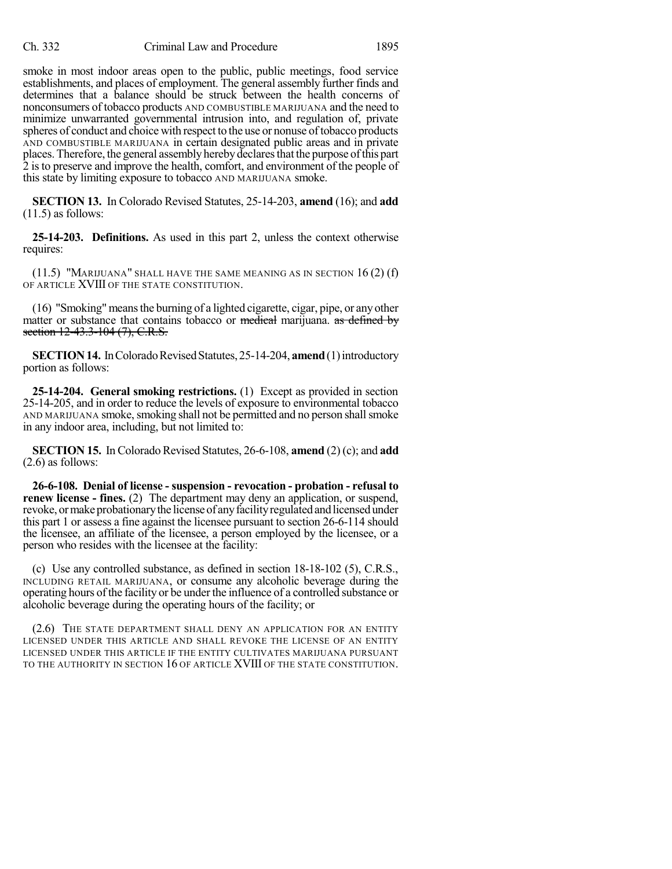smoke in most indoor areas open to the public, public meetings, food service establishments, and places of employment. The general assembly further finds and determines that a balance should be struck between the health concerns of nonconsumers of tobacco products AND COMBUSTIBLE MARIJUANA and the need to minimize unwarranted governmental intrusion into, and regulation of, private spheres of conduct and choice with respect to the use or nonuse of tobacco products AND COMBUSTIBLE MARIJUANA in certain designated public areas and in private places. Therefore, the general assembly hereby declaresthat the purpose ofthis part 2 is to preserve and improve the health, comfort, and environment of the people of this state by limiting exposure to tobacco AND MARIJUANA smoke.

**SECTION 13.** In Colorado Revised Statutes, 25-14-203, **amend** (16); and **add**  $(11.5)$  as follows:

**25-14-203. Definitions.** As used in this part 2, unless the context otherwise requires:

(11.5) "MARIJUANA" SHALL HAVE THE SAME MEANING AS IN SECTION 16 (2) (f) OF ARTICLE XVIII OF THE STATE CONSTITUTION.

(16) "Smoking"meansthe burning of a lighted cigarette, cigar, pipe, or any other matter or substance that contains tobacco or medical marijuana. as defined by section 12-43.3-104 (7), C.R.S.

**SECTION 14.** In Colorado Revised Statutes, 25-14-204, **amend** (1) introductory portion as follows:

**25-14-204. General smoking restrictions.** (1) Except as provided in section 25-14-205, and in order to reduce the levels of exposure to environmental tobacco AND MARIJUANA smoke, smoking shall not be permitted and no person shall smoke in any indoor area, including, but not limited to:

**SECTION 15.** In Colorado Revised Statutes, 26-6-108, **amend** (2) (c); and **add** (2.6) as follows:

**26-6-108. Denial of license - suspension - revocation - probation - refusal to renew license - fines.** (2) The department may deny an application, or suspend, revoke, or make probationary the license of any facility regulated and licensed under this part 1 or assess a fine against the licensee pursuant to section 26-6-114 should the licensee, an affiliate of the licensee, a person employed by the licensee, or a person who resides with the licensee at the facility:

(c) Use any controlled substance, as defined in section 18-18-102 (5), C.R.S., INCLUDING RETAIL MARIJUANA, or consume any alcoholic beverage during the operating hours ofthe facility or be under the influence of a controlled substance or alcoholic beverage during the operating hours of the facility; or

(2.6) THE STATE DEPARTMENT SHALL DENY AN APPLICATION FOR AN ENTITY LICENSED UNDER THIS ARTICLE AND SHALL REVOKE THE LICENSE OF AN ENTITY LICENSED UNDER THIS ARTICLE IF THE ENTITY CULTIVATES MARIJUANA PURSUANT TO THE AUTHORITY IN SECTION 16 OF ARTICLE XVIII OF THE STATE CONSTITUTION.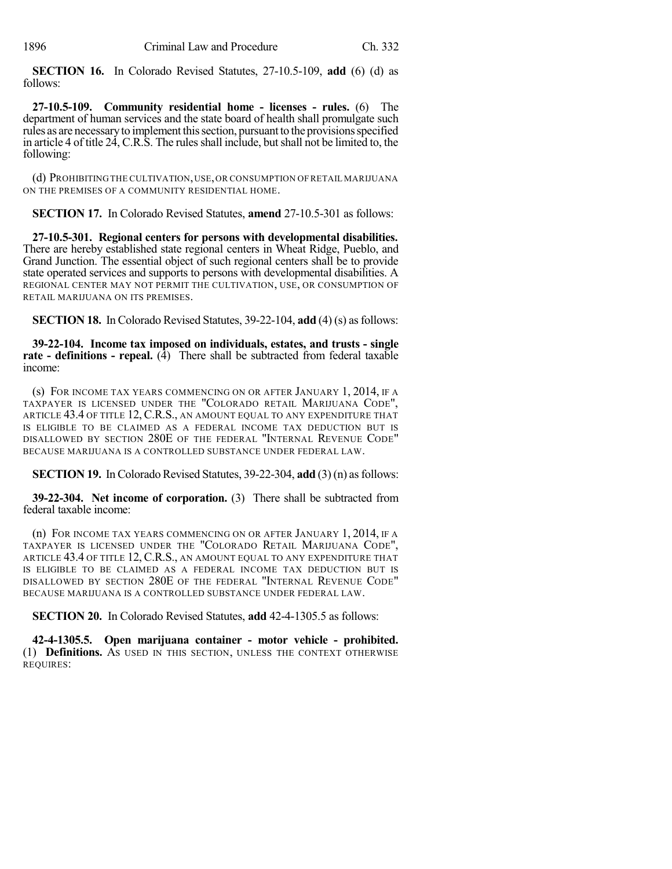**SECTION 16.** In Colorado Revised Statutes, 27-10.5-109, **add** (6) (d) as follows:

**27-10.5-109. Community residential home - licenses - rules.** (6) The department of human services and the state board of health shall promulgate such rules as are necessary to implement this section, pursuant to the provisions specified in article 4 of title 24, C.R.S. The rules shall include, but shall not be limited to, the following:

(d) PROHIBITING THE CULTIVATION,USE,OR CONSUMPTION OF RETAIL MARIJUANA ON THE PREMISES OF A COMMUNITY RESIDENTIAL HOME.

**SECTION 17.** In Colorado Revised Statutes, **amend** 27-10.5-301 as follows:

**27-10.5-301. Regional centers for persons with developmental disabilities.** There are hereby established state regional centers in Wheat Ridge, Pueblo, and Grand Junction. The essential object of such regional centers shall be to provide state operated services and supports to persons with developmental disabilities. A REGIONAL CENTER MAY NOT PERMIT THE CULTIVATION, USE, OR CONSUMPTION OF RETAIL MARIJUANA ON ITS PREMISES.

**SECTION 18.** In Colorado Revised Statutes, 39-22-104, add (4) (s) as follows:

**39-22-104. Income tax imposed on individuals, estates, and trusts - single rate - definitions - repeal.** (4) There shall be subtracted from federal taxable income:

(s) FOR INCOME TAX YEARS COMMENCING ON OR AFTER JANUARY 1, 2014, IF A TAXPAYER IS LICENSED UNDER THE "COLORADO RETAIL MARIJUANA CODE", ARTICLE 43.4 OF TITLE 12, C.R.S., AN AMOUNT EQUAL TO ANY EXPENDITURE THAT IS ELIGIBLE TO BE CLAIMED AS A FEDERAL INCOME TAX DEDUCTION BUT IS DISALLOWED BY SECTION 280E OF THE FEDERAL "INTERNAL REVENUE CODE" BECAUSE MARIJUANA IS A CONTROLLED SUBSTANCE UNDER FEDERAL LAW.

**SECTION 19.** In Colorado Revised Statutes,  $39-22-304$ , **add** (3) (n) as follows:

**39-22-304. Net income of corporation.** (3) There shall be subtracted from federal taxable income:

(n) FOR INCOME TAX YEARS COMMENCING ON OR AFTER JANUARY 1, 2014, IF A TAXPAYER IS LICENSED UNDER THE "COLORADO RETAIL MARIJUANA CODE", ARTICLE 43.4 OF TITLE 12, C.R.S., AN AMOUNT EQUAL TO ANY EXPENDITURE THAT IS ELIGIBLE TO BE CLAIMED AS A FEDERAL INCOME TAX DEDUCTION BUT IS DISALLOWED BY SECTION 280E OF THE FEDERAL "INTERNAL REVENUE CODE" BECAUSE MARIJUANA IS A CONTROLLED SUBSTANCE UNDER FEDERAL LAW.

**SECTION 20.** In Colorado Revised Statutes, **add** 42-4-1305.5 as follows:

**42-4-1305.5. Open marijuana container - motor vehicle - prohibited.** (1) **Definitions.** AS USED IN THIS SECTION, UNLESS THE CONTEXT OTHERWISE REQUIRES: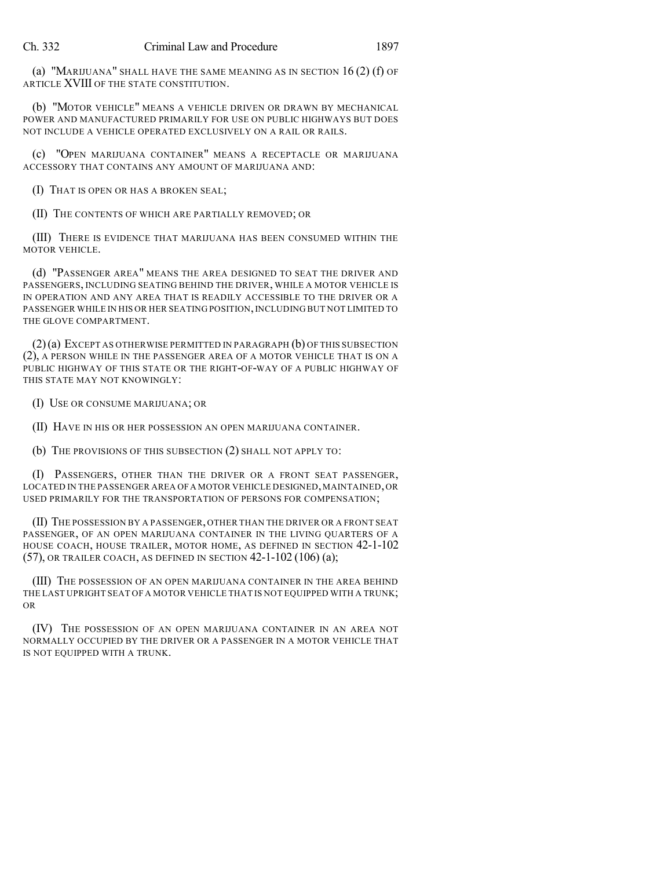(a) "MARIJUANA" SHALL HAVE THE SAME MEANING AS IN SECTION 16 (2) (f) OF ARTICLE XVIII OF THE STATE CONSTITUTION.

(b) "MOTOR VEHICLE" MEANS A VEHICLE DRIVEN OR DRAWN BY MECHANICAL POWER AND MANUFACTURED PRIMARILY FOR USE ON PUBLIC HIGHWAYS BUT DOES NOT INCLUDE A VEHICLE OPERATED EXCLUSIVELY ON A RAIL OR RAILS.

(c) "OPEN MARIJUANA CONTAINER" MEANS A RECEPTACLE OR MARIJUANA ACCESSORY THAT CONTAINS ANY AMOUNT OF MARIJUANA AND:

(I) THAT IS OPEN OR HAS A BROKEN SEAL;

(II) THE CONTENTS OF WHICH ARE PARTIALLY REMOVED; OR

(III) THERE IS EVIDENCE THAT MARIJUANA HAS BEEN CONSUMED WITHIN THE MOTOR VEHICLE.

(d) "PASSENGER AREA" MEANS THE AREA DESIGNED TO SEAT THE DRIVER AND PASSENGERS, INCLUDING SEATING BEHIND THE DRIVER, WHILE A MOTOR VEHICLE IS IN OPERATION AND ANY AREA THAT IS READILY ACCESSIBLE TO THE DRIVER OR A PASSENGER WHILE IN HIS OR HER SEATING POSITION,INCLUDING BUT NOT LIMITED TO THE GLOVE COMPARTMENT.

(2)(a) EXCEPT AS OTHERWISE PERMITTED IN PARAGRAPH (b) OF THIS SUBSECTION (2), A PERSON WHILE IN THE PASSENGER AREA OF A MOTOR VEHICLE THAT IS ON A PUBLIC HIGHWAY OF THIS STATE OR THE RIGHT-OF-WAY OF A PUBLIC HIGHWAY OF THIS STATE MAY NOT KNOWINGLY:

(I) USE OR CONSUME MARIJUANA; OR

(II) HAVE IN HIS OR HER POSSESSION AN OPEN MARIJUANA CONTAINER.

(b) THE PROVISIONS OF THIS SUBSECTION (2) SHALL NOT APPLY TO:

(I) PASSENGERS, OTHER THAN THE DRIVER OR A FRONT SEAT PASSENGER, LOCATED IN THE PASSENGER AREA OF A MOTOR VEHICLE DESIGNED, MAINTAINED, OR USED PRIMARILY FOR THE TRANSPORTATION OF PERSONS FOR COMPENSATION;

(II) THE POSSESSION BY A PASSENGER, OTHER THAN THE DRIVER OR A FRONT SEAT PASSENGER, OF AN OPEN MARIJUANA CONTAINER IN THE LIVING QUARTERS OF A HOUSE COACH, HOUSE TRAILER, MOTOR HOME, AS DEFINED IN SECTION 42-1-102 (57), OR TRAILER COACH, AS DEFINED IN SECTION 42-1-102 (106) (a);

(III) THE POSSESSION OF AN OPEN MARIJUANA CONTAINER IN THE AREA BEHIND THE LAST UPRIGHT SEAT OF A MOTOR VEHICLE THAT IS NOT EQUIPPED WITH A TRUNK; OR

(IV) THE POSSESSION OF AN OPEN MARIJUANA CONTAINER IN AN AREA NOT NORMALLY OCCUPIED BY THE DRIVER OR A PASSENGER IN A MOTOR VEHICLE THAT IS NOT EQUIPPED WITH A TRUNK.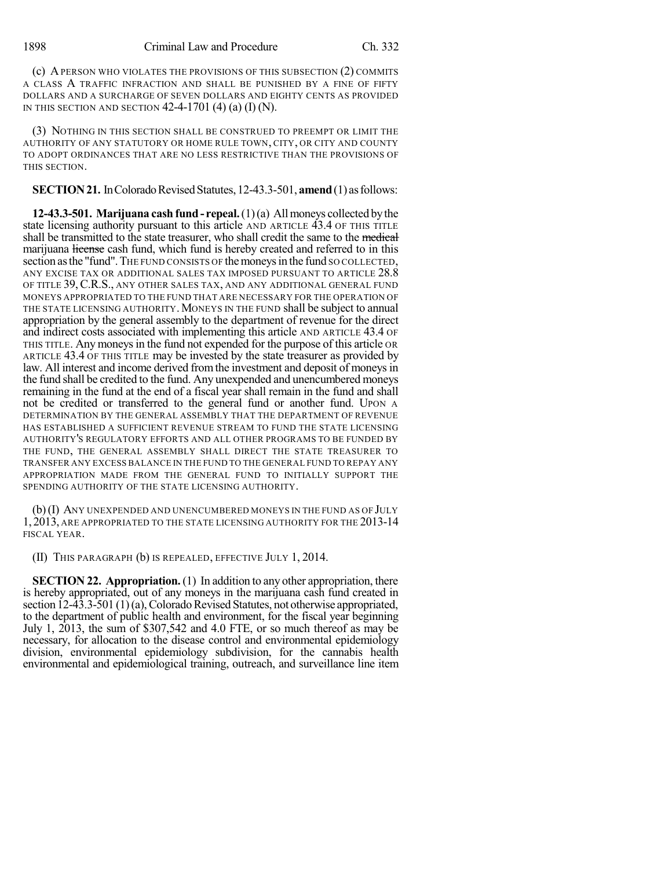(c) APERSON WHO VIOLATES THE PROVISIONS OF THIS SUBSECTION (2) COMMITS A CLASS A TRAFFIC INFRACTION AND SHALL BE PUNISHED BY A FINE OF FIFTY DOLLARS AND A SURCHARGE OF SEVEN DOLLARS AND EIGHTY CENTS AS PROVIDED IN THIS SECTION AND SECTION  $42-4-1701$  (4) (a) (I) (N).

(3) NOTHING IN THIS SECTION SHALL BE CONSTRUED TO PREEMPT OR LIMIT THE AUTHORITY OF ANY STATUTORY OR HOME RULE TOWN, CITY, OR CITY AND COUNTY TO ADOPT ORDINANCES THAT ARE NO LESS RESTRICTIVE THAN THE PROVISIONS OF THIS SECTION.

### **SECTION 21.** In Colorado Revised Statutes, 12-43.3-501, **amend** (1) as follows:

**12-43.3-501. Marijuana cash fund- repeal.**(1)(a) Allmoneys collected bythe state licensing authority pursuant to this article AND ARTICLE 43.4 OF THIS TITLE shall be transmitted to the state treasurer, who shall credit the same to the medical marijuana license cash fund, which fund is hereby created and referred to in this section as the "fund". The FUND CONSISTS OF the moneys in the fund SO COLLECTED, ANY EXCISE TAX OR ADDITIONAL SALES TAX IMPOSED PURSUANT TO ARTICLE 28.8 OF TITLE 39, C.R.S., ANY OTHER SALES TAX, AND ANY ADDITIONAL GENERAL FUND MONEYS APPROPRIATED TO THE FUND THAT ARE NECESSARY FOR THE OPERATION OF THE STATE LICENSING AUTHORITY. MONEYS IN THE FUND shall be subject to annual appropriation by the general assembly to the department of revenue for the direct and indirect costs associated with implementing this article AND ARTICLE 43.4 OF THIS TITLE. Any moneysin the fund not expended for the purpose of this article OR ARTICLE 43.4 OF THIS TITLE may be invested by the state treasurer as provided by law. All interest and income derived from the investment and deposit of moneys in the fund shall be credited to the fund. Any unexpended and unencumbered moneys remaining in the fund at the end of a fiscal year shall remain in the fund and shall not be credited or transferred to the general fund or another fund. UPON A DETERMINATION BY THE GENERAL ASSEMBLY THAT THE DEPARTMENT OF REVENUE HAS ESTABLISHED A SUFFICIENT REVENUE STREAM TO FUND THE STATE LICENSING AUTHORITY'S REGULATORY EFFORTS AND ALL OTHER PROGRAMS TO BE FUNDED BY THE FUND, THE GENERAL ASSEMBLY SHALL DIRECT THE STATE TREASURER TO TRANSFER ANY EXCESS BALANCE IN THE FUND TO THE GENERAL FUND TO REPAY ANY APPROPRIATION MADE FROM THE GENERAL FUND TO INITIALLY SUPPORT THE SPENDING AUTHORITY OF THE STATE LICENSING AUTHORITY.

(b)(I) ANY UNEXPENDED AND UNENCUMBERED MONEYS IN THE FUND AS OF JULY 1, 2013, ARE APPROPRIATED TO THE STATE LICENSING AUTHORITY FOR THE 2013-14 FISCAL YEAR.

(II) THIS PARAGRAPH (b) IS REPEALED, EFFECTIVE JULY 1, 2014.

**SECTION 22. Appropriation.** (1) In addition to any other appropriation, there is hereby appropriated, out of any moneys in the marijuana cash fund created in section  $12-43.3-501(1)(a)$ , Colorado Revised Statutes, not otherwise appropriated, to the department of public health and environment, for the fiscal year beginning July 1, 2013, the sum of \$307,542 and 4.0 FTE, or so much thereof as may be necessary, for allocation to the disease control and environmental epidemiology division, environmental epidemiology subdivision, for the cannabis health environmental and epidemiological training, outreach, and surveillance line item